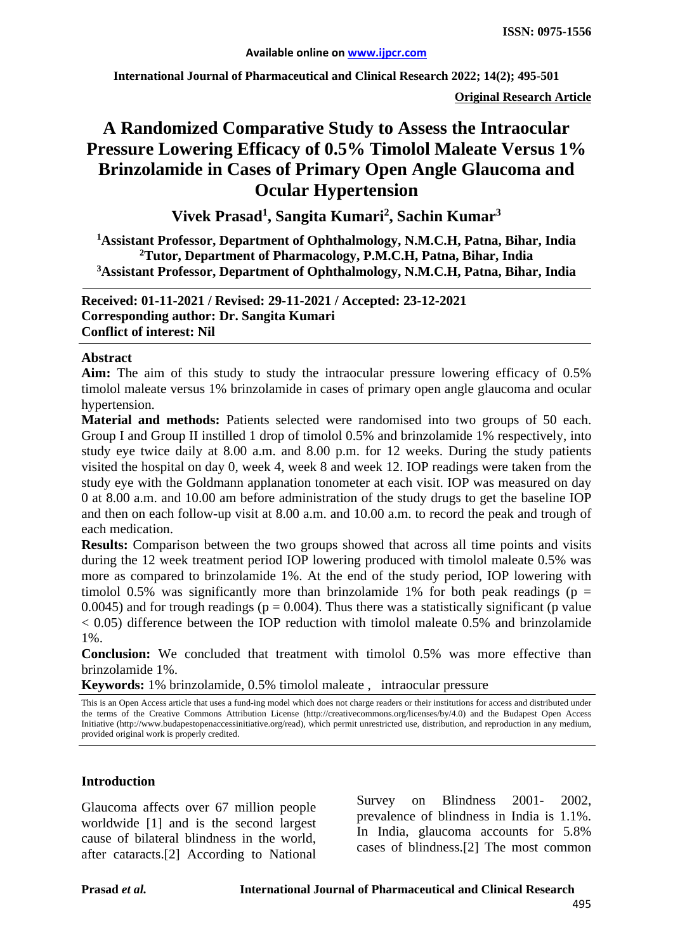**International Journal of Pharmaceutical and Clinical Research 2022; 14(2); 495-501**

**Original Research Article**

# **A Randomized Comparative Study to Assess the Intraocular Pressure Lowering Efficacy of 0.5% Timolol Maleate Versus 1% Brinzolamide in Cases of Primary Open Angle Glaucoma and Ocular Hypertension**

**Vivek Prasad1 , Sangita Kumari<sup>2</sup> , Sachin Kumar3**

**1 Assistant Professor, Department of Ophthalmology, N.M.C.H, Patna, Bihar, India 2 Tutor, Department of Pharmacology, P.M.C.H, Patna, Bihar, India 3 Assistant Professor, Department of Ophthalmology, N.M.C.H, Patna, Bihar, India**

**Received: 01-11-2021 / Revised: 29-11-2021 / Accepted: 23-12-2021 Corresponding author: Dr. Sangita Kumari Conflict of interest: Nil**

#### **Abstract**

**Aim:** The aim of this study to study the intraocular pressure lowering efficacy of 0.5% timolol maleate versus 1% brinzolamide in cases of primary open angle glaucoma and ocular hypertension.

**Material and methods:** Patients selected were randomised into two groups of 50 each. Group I and Group II instilled 1 drop of timolol 0.5% and brinzolamide 1% respectively, into study eye twice daily at 8.00 a.m. and 8.00 p.m. for 12 weeks. During the study patients visited the hospital on day 0, week 4, week 8 and week 12. IOP readings were taken from the study eye with the Goldmann applanation tonometer at each visit. IOP was measured on day 0 at 8.00 a.m. and 10.00 am before administration of the study drugs to get the baseline IOP and then on each follow-up visit at 8.00 a.m. and 10.00 a.m. to record the peak and trough of each medication.

**Results:** Comparison between the two groups showed that across all time points and visits during the 12 week treatment period IOP lowering produced with timolol maleate 0.5% was more as compared to brinzolamide 1%. At the end of the study period, IOP lowering with timolol 0.5% was significantly more than brinzolamide 1% for both peak readings ( $p =$ 0.0045) and for trough readings ( $p = 0.004$ ). Thus there was a statistically significant (p value  $< 0.05$ ) difference between the IOP reduction with timolol maleate 0.5% and brinzolamide 1%.

**Conclusion:** We concluded that treatment with timolol 0.5% was more effective than brinzolamide 1%.

**Keywords:** 1% brinzolamide, 0.5% timolol maleate , intraocular pressure

This is an Open Access article that uses a fund-ing model which does not charge readers or their institutions for access and distributed under the terms of the Creative Commons Attribution License (http://creativecommons.org/licenses/by/4.0) and the Budapest Open Access Initiative (http://www.budapestopenaccessinitiative.org/read), which permit unrestricted use, distribution, and reproduction in any medium, provided original work is properly credited.

#### **Introduction**

Glaucoma affects over 67 million people worldwide [1] and is the second largest cause of bilateral blindness in the world, after cataracts.[2] According to National Survey on Blindness 2001- 2002, prevalence of blindness in India is 1.1%. In India, glaucoma accounts for 5.8% cases of blindness.[2] The most common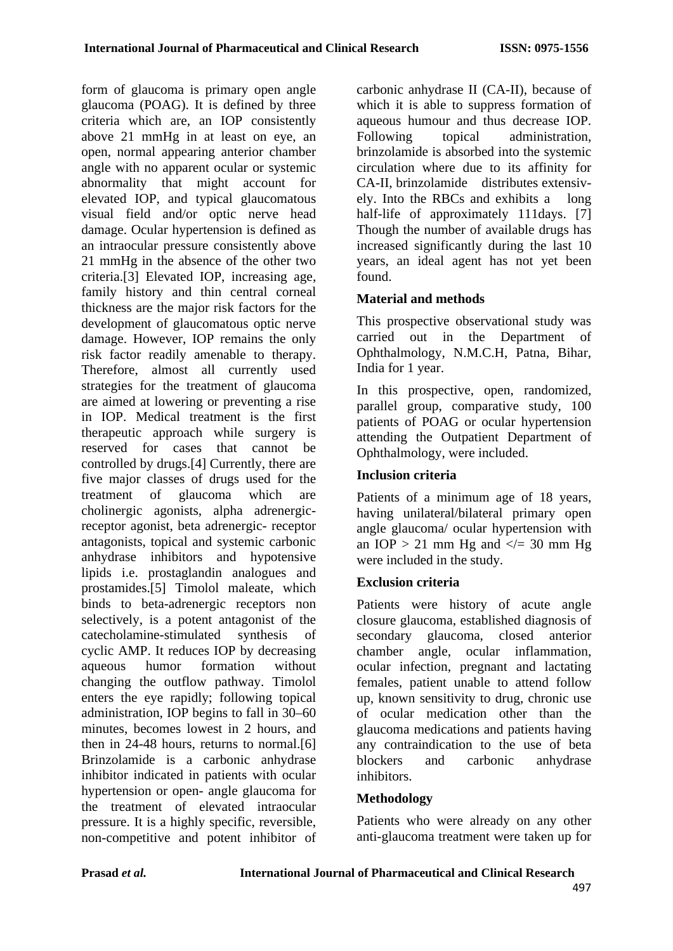form of glaucoma is primary open angle glaucoma (POAG). It is defined by three criteria which are, an IOP consistently above 21 mmHg in at least on eye, an open, normal appearing anterior chamber angle with no apparent ocular or systemic abnormality that might account for elevated IOP, and typical glaucomatous visual field and/or optic nerve head damage. Ocular hypertension is defined as an intraocular pressure consistently above 21 mmHg in the absence of the other two criteria.[3] Elevated IOP, increasing age, family history and thin central corneal thickness are the major risk factors for the development of glaucomatous optic nerve damage. However, IOP remains the only risk factor readily amenable to therapy. Therefore, almost all currently used strategies for the treatment of glaucoma are aimed at lowering or preventing a rise in IOP. Medical treatment is the first therapeutic approach while surgery is reserved for cases that cannot be controlled by drugs.[4] Currently, there are five major classes of drugs used for the treatment of glaucoma which are cholinergic agonists, alpha adrenergicreceptor agonist, beta adrenergic- receptor antagonists, topical and systemic carbonic anhydrase inhibitors and hypotensive lipids i.e. prostaglandin analogues and prostamides.[5] Timolol maleate, which binds to beta-adrenergic receptors non selectively, is a potent antagonist of the catecholamine-stimulated synthesis of cyclic AMP. It reduces IOP by decreasing aqueous humor formation without changing the outflow pathway. Timolol enters the eye rapidly; following topical administration, IOP begins to fall in 30–60 minutes, becomes lowest in 2 hours, and then in 24-48 hours, returns to normal.[6] Brinzolamide is a carbonic anhydrase inhibitor indicated in patients with ocular hypertension or open- angle glaucoma for the treatment of elevated intraocular pressure. It is a highly specific, reversible, non-competitive and potent inhibitor of carbonic anhydrase II (CA-II), because of which it is able to suppress formation of aqueous humour and thus decrease IOP. Following topical administration, brinzolamide is absorbed into the systemic circulation where due to its affinity for CA-II, brinzolamide distributes extensively. Into the RBCs and exhibits a long half-life of approximately 111days. [7] Though the number of available drugs has increased significantly during the last 10 years, an ideal agent has not yet been found.

#### **Material and methods**

This prospective observational study was carried out in the Department of Ophthalmology, N.M.C.H, Patna, Bihar, India for 1 year.

In this prospective, open, randomized, parallel group, comparative study, 100 patients of POAG or ocular hypertension attending the Outpatient Department of Ophthalmology, were included.

#### **Inclusion criteria**

Patients of a minimum age of 18 years, having unilateral/bilateral primary open angle glaucoma/ ocular hypertension with an IOP > 21 mm Hg and  $\lt$  = 30 mm Hg were included in the study.

### **Exclusion criteria**

Patients were history of acute angle closure glaucoma, established diagnosis of secondary glaucoma, closed anterior chamber angle, ocular inflammation, ocular infection, pregnant and lactating females, patient unable to attend follow up, known sensitivity to drug, chronic use of ocular medication other than the glaucoma medications and patients having any contraindication to the use of beta<br>blockers and carbonic anhydrase blockers and carbonic anhydrase inhibitors.

### **Methodology**

Patients who were already on any other anti-glaucoma treatment were taken up for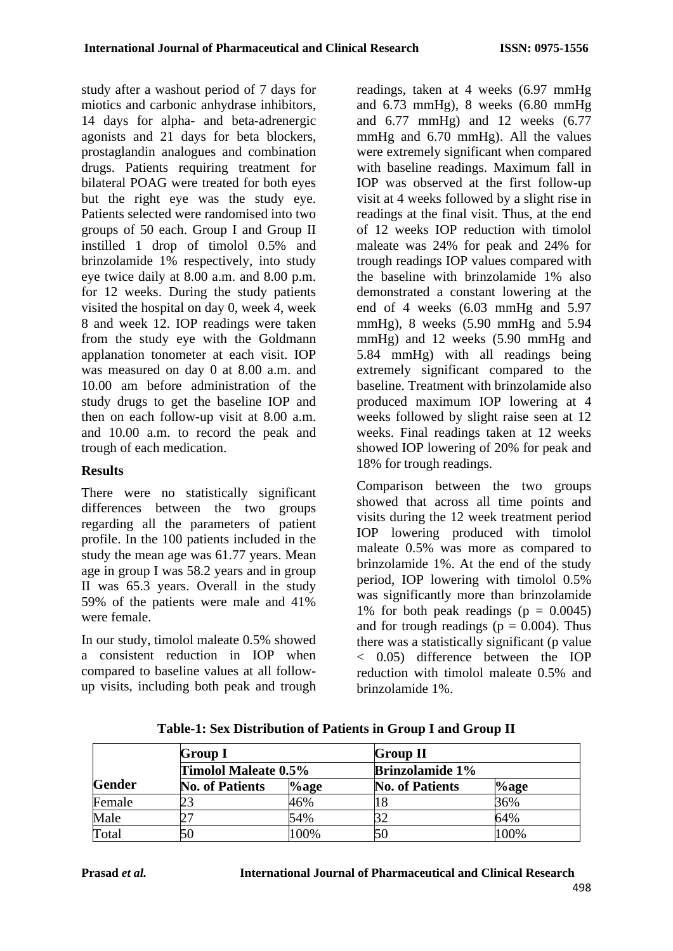study after a washout period of 7 days for miotics and carbonic anhydrase inhibitors, 14 days for alpha- and beta-adrenergic agonists and 21 days for beta blockers, prostaglandin analogues and combination drugs. Patients requiring treatment for bilateral POAG were treated for both eyes but the right eye was the study eye. Patients selected were randomised into two groups of 50 each. Group I and Group II instilled 1 drop of timolol 0.5% and brinzolamide 1% respectively, into study eye twice daily at 8.00 a.m. and 8.00 p.m. for 12 weeks. During the study patients visited the hospital on day 0, week 4, week 8 and week 12. IOP readings were taken from the study eye with the Goldmann applanation tonometer at each visit. IOP was measured on day 0 at 8.00 a.m. and 10.00 am before administration of the study drugs to get the baseline IOP and then on each follow-up visit at 8.00 a.m. and 10.00 a.m. to record the peak and trough of each medication.

#### **Results**

There were no statistically significant differences between the two groups regarding all the parameters of patient profile. In the 100 patients included in the study the mean age was 61.77 years. Mean age in group I was 58.2 years and in group II was 65.3 years. Overall in the study 59% of the patients were male and 41% were female.

In our study, timolol maleate 0.5% showed a consistent reduction in IOP when compared to baseline values at all followup visits, including both peak and trough readings, taken at 4 weeks (6.97 mmHg and 6.73 mmHg), 8 weeks (6.80 mmHg and 6.77 mmHg) and 12 weeks (6.77 mmHg and 6.70 mmHg). All the values were extremely significant when compared with baseline readings. Maximum fall in IOP was observed at the first follow-up visit at 4 weeks followed by a slight rise in readings at the final visit. Thus, at the end of 12 weeks IOP reduction with timolol maleate was 24% for peak and 24% for trough readings IOP values compared with the baseline with brinzolamide 1% also demonstrated a constant lowering at the end of 4 weeks (6.03 mmHg and 5.97 mmHg), 8 weeks (5.90 mmHg and 5.94 mmHg) and 12 weeks  $(5.90 \text{ mmHg}$  and 5.84 mmHg) with all readings being extremely significant compared to the baseline. Treatment with brinzolamide also produced maximum IOP lowering at 4 weeks followed by slight raise seen at 12 weeks. Final readings taken at 12 weeks showed IOP lowering of 20% for peak and 18% for trough readings.

Comparison between the two groups showed that across all time points and visits during the 12 week treatment period IOP lowering produced with timolol maleate 0.5% was more as compared to brinzolamide 1%. At the end of the study period, IOP lowering with timolol 0.5% was significantly more than brinzolamide 1% for both peak readings  $(p = 0.0045)$ and for trough readings ( $p = 0.004$ ). Thus there was a statistically significant (p value) < 0.05) difference between the IOP reduction with timolol maleate 0.5% and brinzolamide 1%.

| <b>Gender</b> | <b>Group I</b><br>Timolol Maleate 0.5% |      | <b>Group II</b><br><b>Brinzolamide 1%</b> |      |
|---------------|----------------------------------------|------|-------------------------------------------|------|
|               |                                        |      |                                           |      |
|               | Female                                 | 23   | 46%                                       | 18   |
| Male          | 27                                     | 54%  | 32                                        | 64%  |
| Total         | 50                                     | 100% | 50                                        | 100% |

**Table-1: Sex Distribution of Patients in Group I and Group II**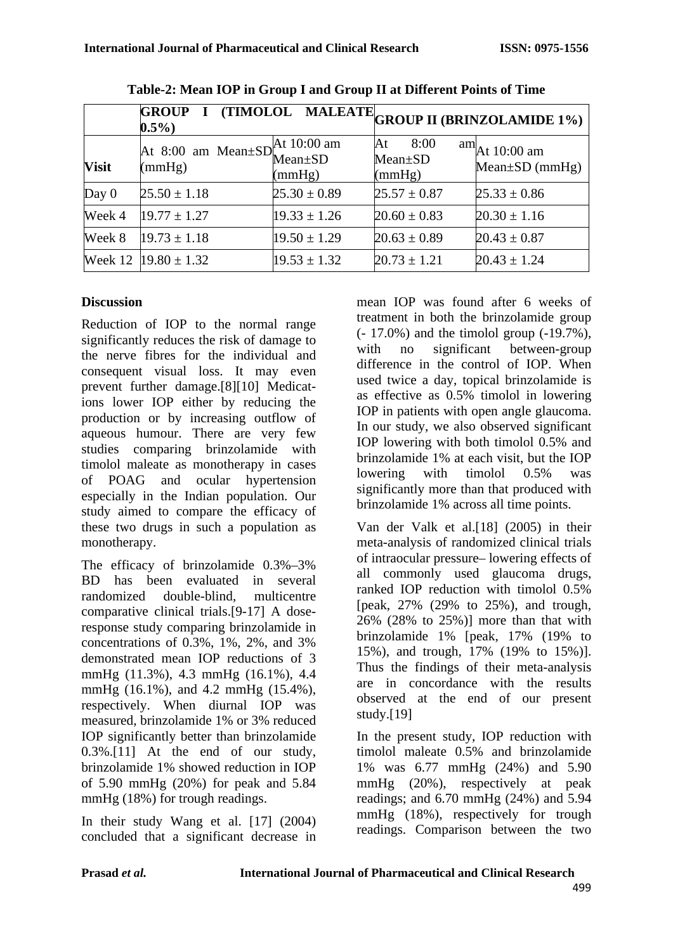|              | <b>GROUP</b><br>$0.5\%$                                                       |                  |                                       | $\boxed{\phantom{1}I$ (TIMOLOL MALEATE GROUP II (BRINZOLAMIDE 1%) |
|--------------|-------------------------------------------------------------------------------|------------------|---------------------------------------|-------------------------------------------------------------------|
| <b>Visit</b> | At 8:00 am Mean $\pm SD_{\text{Mean}\pm SD}^{A t 10:00 \text{ am}}$<br>(mmHg) | (mmHg)           | 8:00<br>At<br>$Mean \pm SD$<br>(mmHg) | $\lim_{\text{At 10:00 am}}$<br>$Mean \pm SD$ (mmHg)               |
| Day $0$      | $25.50 \pm 1.18$                                                              | $25.30 \pm 0.89$ | $25.57 \pm 0.87$                      | $25.33 \pm 0.86$                                                  |
| Week 4       | $19.77 \pm 1.27$                                                              | $19.33 \pm 1.26$ | $20.60 \pm 0.83$                      | $20.30 \pm 1.16$                                                  |
| Week 8       | $19.73 \pm 1.18$                                                              | $19.50 \pm 1.29$ | $20.63 \pm 0.89$                      | $20.43 \pm 0.87$                                                  |
|              | Week 12 $ 19.80 \pm 1.32 $                                                    | $19.53 \pm 1.32$ | $20.73 \pm 1.21$                      | $20.43 \pm 1.24$                                                  |

**Table-2: Mean IOP in Group I and Group II at Different Points of Time**

## **Discussion**

Reduction of IOP to the normal range significantly reduces the risk of damage to the nerve fibres for the individual and consequent visual loss. It may even prevent further damage.[8][10] Medications lower IOP either by reducing the production or by increasing outflow of aqueous humour. There are very few studies comparing brinzolamide with timolol maleate as monotherapy in cases of POAG and ocular hypertension especially in the Indian population. Our study aimed to compare the efficacy of these two drugs in such a population as monotherapy.

The efficacy of brinzolamide 0.3%–3% BD has been evaluated in several randomized double-blind, multicentre comparative clinical trials.[9-17] A doseresponse study comparing brinzolamide in concentrations of 0.3%, 1%, 2%, and 3% demonstrated mean IOP reductions of 3 mmHg (11.3%), 4.3 mmHg (16.1%), 4.4 mmHg (16.1%), and 4.2 mmHg (15.4%), respectively. When diurnal IOP was measured, brinzolamide 1% or 3% reduced IOP significantly better than brinzolamide 0.3%.[11] At the end of our study, brinzolamide 1% showed reduction in IOP of 5.90 mmHg (20%) for peak and 5.84 mmHg (18%) for trough readings.

In their study Wang et al. [17] (2004) concluded that a significant decrease in mean IOP was found after 6 weeks of treatment in both the brinzolamide group (- 17.0%) and the timolol group (-19.7%), with no significant between-group difference in the control of IOP. When used twice a day, topical brinzolamide is as effective as 0.5% timolol in lowering IOP in patients with open angle glaucoma. In our study, we also observed significant IOP lowering with both timolol 0.5% and brinzolamide 1% at each visit, but the IOP lowering with timolol 0.5% was significantly more than that produced with brinzolamide 1% across all time points.

Van der Valk et al.[18] (2005) in their meta-analysis of randomized clinical trials of intraocular pressure– lowering effects of all commonly used glaucoma drugs, ranked IOP reduction with timolol 0.5% [peak, 27% (29% to 25%), and trough, 26% (28% to 25%)] more than that with brinzolamide 1% [peak, 17% (19% to 15%), and trough, 17% (19% to 15%)]. Thus the findings of their meta-analysis are in concordance with the results observed at the end of our present study.[19]

In the present study, IOP reduction with timolol maleate 0.5% and brinzolamide 1% was 6.77 mmHg (24%) and 5.90 mmHg (20%), respectively at peak readings; and  $6.70$  mmHg  $(24%)$  and  $5.94$ mmHg (18%), respectively for trough readings. Comparison between the two

499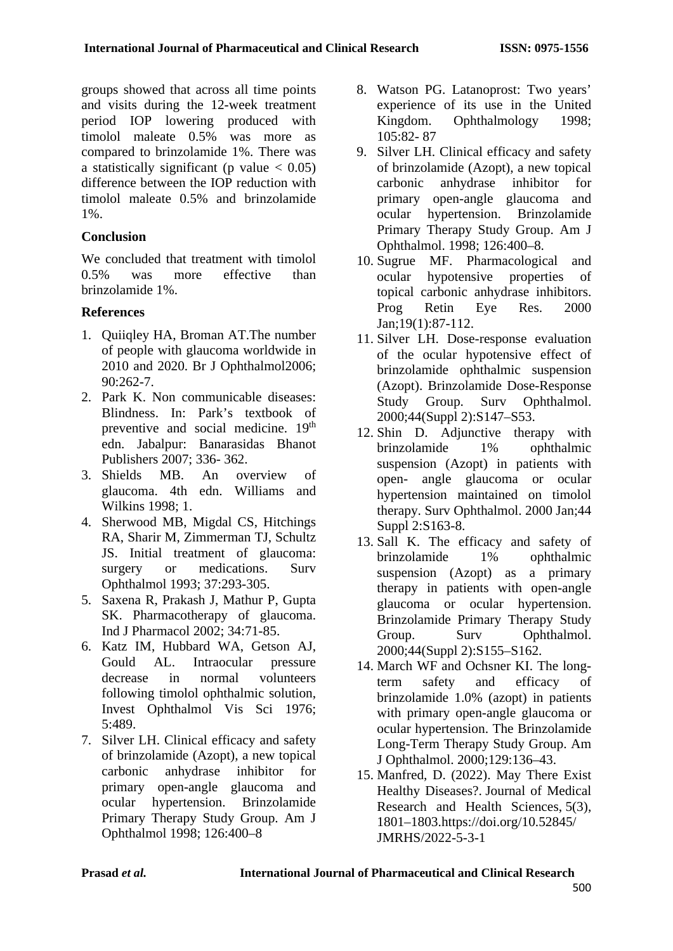groups showed that across all time points and visits during the 12-week treatment period IOP lowering produced with timolol maleate 0.5% was more as compared to brinzolamide 1%. There was a statistically significant (p value  $< 0.05$ ) difference between the IOP reduction with timolol maleate 0.5% and brinzolamide 1%.

### **Conclusion**

We concluded that treatment with timolol 0.5% was more effective than brinzolamide 1%.

# **References**

- 1. Quiiqley HA, Broman AT.The number of people with glaucoma worldwide in 2010 and 2020. Br J Ophthalmol2006; 90:262-7.
- 2. Park K. Non communicable diseases: Blindness. In: Park's textbook of preventive and social medicine. 19<sup>th</sup> edn. Jabalpur: Banarasidas Bhanot Publishers 2007; 336- 362.
- 3. Shields MB. An overview of glaucoma. 4th edn. Williams and Wilkins 1998; 1.
- 4. Sherwood MB, Migdal CS, Hitchings RA, Sharir M, Zimmerman TJ, Schultz JS. Initial treatment of glaucoma: surgery or medications. Surv Ophthalmol 1993; 37:293-305.
- 5. Saxena R, Prakash J, Mathur P, Gupta SK. Pharmacotherapy of glaucoma. Ind J Pharmacol 2002; 34:71-85.
- 6. Katz IM, Hubbard WA, Getson AJ, Gould AL. Intraocular pressure decrease in normal volunteers following timolol ophthalmic solution, Invest Ophthalmol Vis Sci 1976; 5:489.
- 7. Silver LH. Clinical efficacy and safety of brinzolamide (Azopt), a new topical carbonic anhydrase inhibitor for primary open-angle glaucoma and ocular hypertension. Brinzolamide Primary Therapy Study Group. Am J Ophthalmol 1998; 126:400–8
- 8. Watson PG. Latanoprost: Two years' experience of its use in the United Kingdom. Ophthalmology 1998; 105:82- 87
- 9. Silver LH. Clinical efficacy and safety of brinzolamide (Azopt), a new topical carbonic anhydrase inhibitor for primary open-angle glaucoma and ocular hypertension. Brinzolamide Primary Therapy Study Group. Am J Ophthalmol. 1998; 126:400–8.
- 10. Sugrue MF. Pharmacological and ocular hypotensive properties of topical carbonic anhydrase inhibitors. Prog Retin Eye Res. 2000 Jan;19(1):87-112.
- 11. Silver LH. Dose-response evaluation of the ocular hypotensive effect of brinzolamide ophthalmic suspension (Azopt). Brinzolamide Dose-Response Study Group. Surv Ophthalmol. 2000;44(Suppl 2):S147–S53.
- 12. Shin D. Adjunctive therapy with brinzolamide 1% ophthalmic suspension (Azopt) in patients with open- angle glaucoma or ocular hypertension maintained on timolol therapy. Surv Ophthalmol. 2000 Jan;44 Suppl  $2:S163-8$ .
- 13. Sall K. The efficacy and safety of brinzolamide 1% ophthalmic suspension (Azopt) as a primary therapy in patients with open-angle glaucoma or ocular hypertension. Brinzolamide Primary Therapy Study Group. Surv Ophthalmol. 2000;44(Suppl 2):S155–S162.
- 14. March WF and Ochsner KI. The longterm safety and efficacy of brinzolamide 1.0% (azopt) in patients with primary open-angle glaucoma or ocular hypertension. The Brinzolamide Long-Term Therapy Study Group. Am J Ophthalmol. 2000;129:136–43.
- 15. Manfred, D. (2022). May There Exist Healthy Diseases?. Journal of Medical Research and Health Sciences, 5(3), 1801–1803.https://doi.org/10.52845/ JMRHS/2022-5-3-1